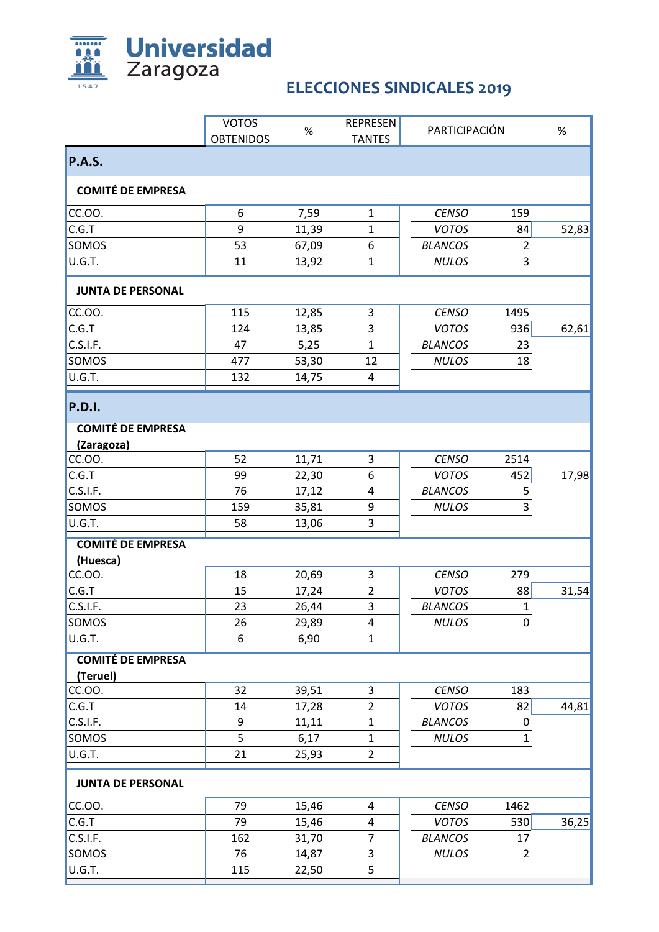

## **ELECCIONES SINDICALES 2019**

|                          | <b>VOTOS</b>     | $\%$  | <b>REPRESEN</b> | PARTICIPACIÓN  |                | %     |
|--------------------------|------------------|-------|-----------------|----------------|----------------|-------|
|                          | <b>OBTENIDOS</b> |       | <b>TANTES</b>   |                |                |       |
| P.A.S.                   |                  |       |                 |                |                |       |
| <b>COMITÉ DE EMPRESA</b> |                  |       |                 |                |                |       |
| CC.OO.                   | 6                | 7,59  | $\mathbf{1}$    | <b>CENSO</b>   | 159            |       |
| C.G.T                    | 9                | 11,39 | $\mathbf{1}$    | <b>VOTOS</b>   | 84             | 52,83 |
| SOMOS                    | 53               | 67,09 | 6               | <b>BLANCOS</b> | $\overline{2}$ |       |
| U.G.T.                   | 11               | 13,92 | $\mathbf 1$     | <b>NULOS</b>   | 3              |       |
| <b>JUNTA DE PERSONAL</b> |                  |       |                 |                |                |       |
| CC.OO.                   | 115              | 12,85 | 3               | <b>CENSO</b>   | 1495           |       |
| C.G.T                    | 124              | 13,85 | 3               | <b>VOTOS</b>   | 936            | 62,61 |
| C.S.I.F.                 | 47               | 5,25  | $\mathbf{1}$    | <b>BLANCOS</b> | 23             |       |
| SOMOS                    | 477              | 53,30 | 12              | <b>NULOS</b>   | 18             |       |
| U.G.T.                   | 132              | 14,75 | 4               |                |                |       |
| <b>P.D.I.</b>            |                  |       |                 |                |                |       |
| <b>COMITÉ DE EMPRESA</b> |                  |       |                 |                |                |       |
| (Zaragoza)               |                  |       |                 |                |                |       |
| CC.OO.                   | 52               | 11,71 | 3               | <b>CENSO</b>   | 2514           |       |
| C.G.T                    | 99               | 22,30 | 6               | <b>VOTOS</b>   | 452            | 17,98 |
| C.S.I.F.                 | 76               | 17,12 | 4               | <b>BLANCOS</b> | 5              |       |
| SOMOS                    | 159              | 35,81 | 9               | <b>NULOS</b>   | 3              |       |
| U.G.T.                   | 58               | 13,06 | 3               |                |                |       |
| <b>COMITÉ DE EMPRESA</b> |                  |       |                 |                |                |       |
| (Huesca)<br>CC.OO.       | 18               | 20,69 | 3               | <b>CENSO</b>   | 279            |       |
| C.G.T                    | 15               | 17,24 | 2               | <b>VOTOS</b>   | 88             | 31,54 |
| C.S.I.F.                 | 23               | 26,44 | 3               | <b>BLANCOS</b> | $\mathbf{1}$   |       |
| SOMOS                    | 26               | 29,89 | 4               | <b>NULOS</b>   | 0              |       |
| U.G.T.                   | 6                | 6,90  | 1               |                |                |       |
| <b>COMITÉ DE EMPRESA</b> |                  |       |                 |                |                |       |
| (Teruel)                 |                  |       |                 |                |                |       |
| CC.OO.                   | 32               | 39,51 | 3               | <b>CENSO</b>   | 183            |       |
| C.G.T                    | 14               | 17,28 | $\overline{2}$  | <b>VOTOS</b>   | 82             | 44,81 |
| C.S.I.F.                 | 9                | 11,11 | 1               | <b>BLANCOS</b> | 0              |       |
| SOMOS                    | 5                | 6,17  | 1               | <b>NULOS</b>   | $\mathbf{1}$   |       |
| U.G.T.                   | 21               | 25,93 | $\overline{2}$  |                |                |       |
| <b>JUNTA DE PERSONAL</b> |                  |       |                 |                |                |       |
| CC.OO.                   | 79               | 15,46 | 4               | <b>CENSO</b>   | 1462           |       |
| C.G.T                    | 79               | 15,46 | 4               | <b>VOTOS</b>   | 530            | 36,25 |
| <b>C.S.I.F.</b>          | 162              | 31,70 | $\overline{7}$  | <b>BLANCOS</b> | 17             |       |
| SOMOS                    | 76               | 14,87 | 3               | <b>NULOS</b>   | $\overline{2}$ |       |
| U.G.T.                   | 115              | 22,50 | 5               |                |                |       |